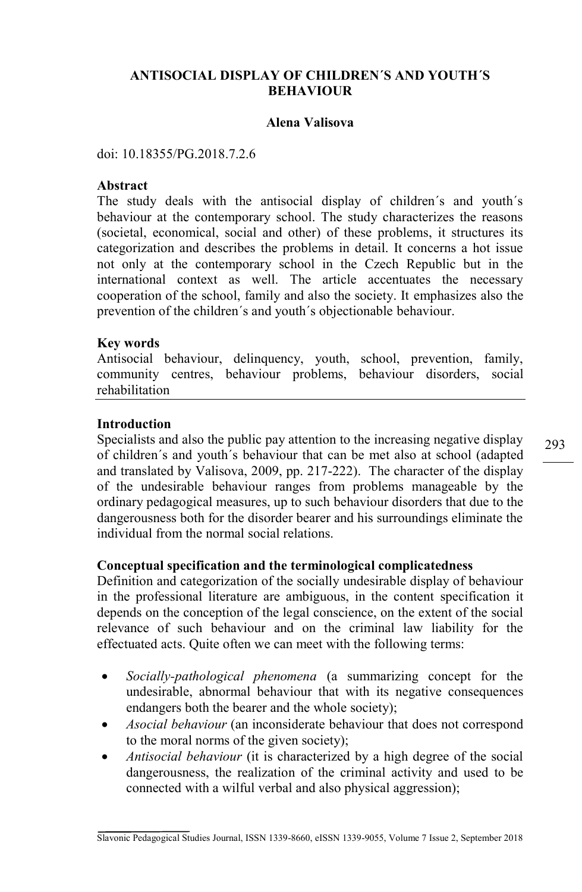## **ANTISOCIAL DISPLAY OF CHILDREN´S AND YOUTH´S BEHAVIOUR**

#### **Alena Valisova**

doi: 10.18355/PG.2018.7.2.6

#### **Abstract**

The study deals with the antisocial display of children´s and youth´s behaviour at the contemporary school. The study characterizes the reasons (societal, economical, social and other) of these problems, it structures its categorization and describes the problems in detail. It concerns a hot issue not only at the contemporary school in the Czech Republic but in the international context as well. The article accentuates the necessary cooperation of the school, family and also the society. It emphasizes also the prevention of the children´s and youth´s objectionable behaviour.

#### **Key words**

Antisocial behaviour, delinquency, youth, school, prevention, family, community centres, behaviour problems, behaviour disorders, social rehabilitation

#### **Introduction**

Specialists and also the public pay attention to the increasing negative display of children´s and youth´s behaviour that can be met also at school (adapted and translated by Valisova, 2009, pp. 217-222). The character of the display of the undesirable behaviour ranges from problems manageable by the ordinary pedagogical measures, up to such behaviour disorders that due to the dangerousness both for the disorder bearer and his surroundings eliminate the individual from the normal social relations.

### **Conceptual specification and the terminological complicatedness**

Definition and categorization of the socially undesirable display of behaviour in the professional literature are ambiguous, in the content specification it depends on the conception of the legal conscience, on the extent of the social relevance of such behaviour and on the criminal law liability for the effectuated acts. Quite often we can meet with the following terms:

- *Socially-pathological phenomena* (a summarizing concept for the undesirable, abnormal behaviour that with its negative consequences endangers both the bearer and the whole society);
- *Asocial behaviour* (an inconsiderate behaviour that does not correspond to the moral norms of the given society);
- *Antisocial behaviour* (it is characterized by a high degree of the social dangerousness, the realization of the criminal activity and used to be connected with a wilful verbal and also physical aggression);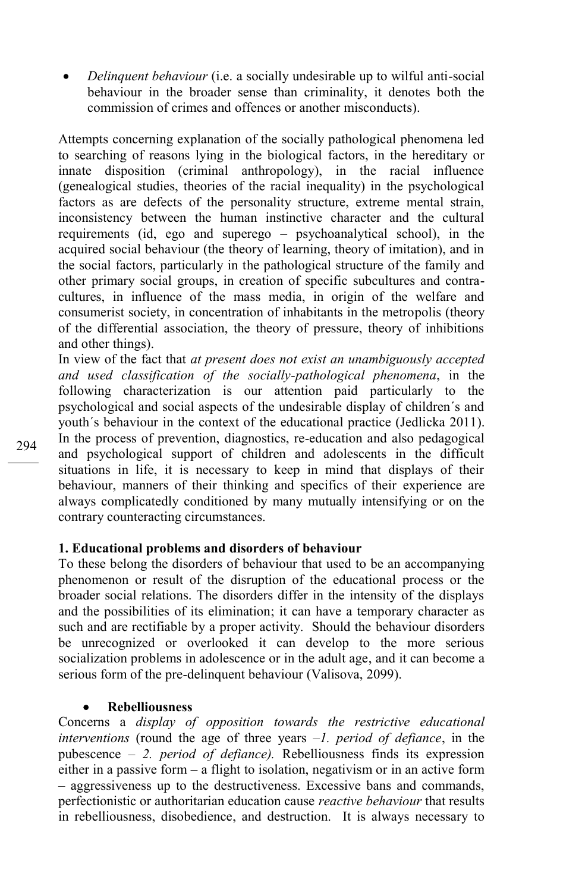*Delinquent behaviour* (i.e. a socially undesirable up to wilful anti-social behaviour in the broader sense than criminality, it denotes both the commission of crimes and offences or another misconducts).

Attempts concerning explanation of the socially pathological phenomena led to searching of reasons lying in the biological factors, in the hereditary or innate disposition (criminal anthropology), in the racial influence (genealogical studies, theories of the racial inequality) in the psychological factors as are defects of the personality structure, extreme mental strain, inconsistency between the human instinctive character and the cultural requirements (id, ego and superego – psychoanalytical school), in the acquired social behaviour (the theory of learning, theory of imitation), and in the social factors, particularly in the pathological structure of the family and other primary social groups, in creation of specific subcultures and contracultures, in influence of the mass media, in origin of the welfare and consumerist society, in concentration of inhabitants in the metropolis (theory of the differential association, the theory of pressure, theory of inhibitions and other things).

In view of the fact that *at present does not exist an unambiguously accepted and used classification of the socially-pathological phenomena*, in the following characterization is our attention paid particularly to the psychological and social aspects of the undesirable display of children´s and youth´s behaviour in the context of the educational practice (Jedlicka 2011). In the process of prevention, diagnostics, re-education and also pedagogical and psychological support of children and adolescents in the difficult situations in life, it is necessary to keep in mind that displays of their behaviour, manners of their thinking and specifics of their experience are always complicatedly conditioned by many mutually intensifying or on the contrary counteracting circumstances.

## **1. Educational problems and disorders of behaviour**

To these belong the disorders of behaviour that used to be an accompanying phenomenon or result of the disruption of the educational process or the broader social relations. The disorders differ in the intensity of the displays and the possibilities of its elimination; it can have a temporary character as such and are rectifiable by a proper activity. Should the behaviour disorders be unrecognized or overlooked it can develop to the more serious socialization problems in adolescence or in the adult age, and it can become a serious form of the pre-delinquent behaviour (Valisova, 2099).

#### **Rebelliousness**

Concerns a *display of opposition towards the restrictive educational interventions* (round the age of three years –*1. period of defiance*, in the pubescence – *2. period of defiance).* Rebelliousness finds its expression either in a passive form – a flight to isolation, negativism or in an active form – aggressiveness up to the destructiveness. Excessive bans and commands, perfectionistic or authoritarian education cause *reactive behaviour* that results in rebelliousness, disobedience, and destruction. It is always necessary to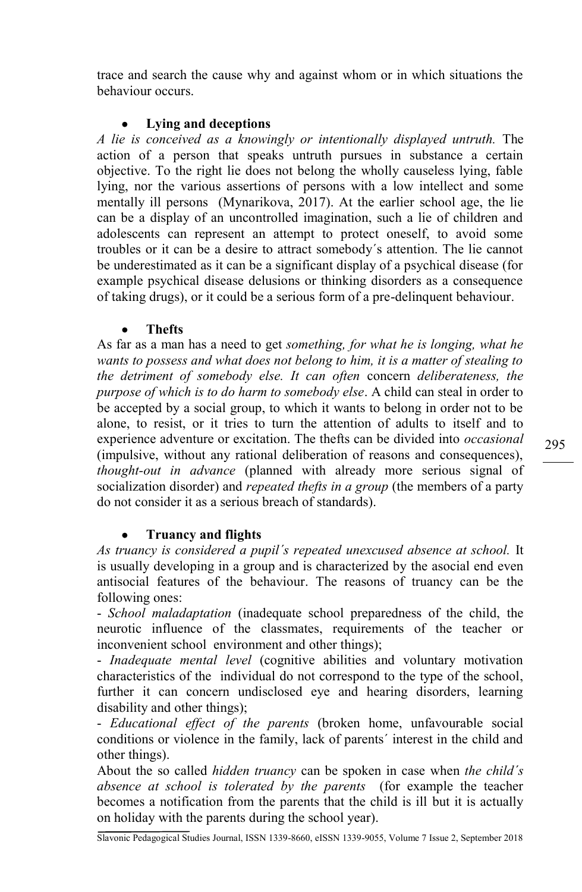trace and search the cause why and against whom or in which situations the behaviour occurs.

### **Lying and deceptions**

*A lie is conceived as a knowingly or intentionally displayed untruth.* The action of a person that speaks untruth pursues in substance a certain objective. To the right lie does not belong the wholly causeless lying, fable lying, nor the various assertions of persons with a low intellect and some mentally ill persons (Mynarikova, 2017). At the earlier school age, the lie can be a display of an uncontrolled imagination, such a lie of children and adolescents can represent an attempt to protect oneself, to avoid some troubles or it can be a desire to attract somebody´s attention. The lie cannot be underestimated as it can be a significant display of a psychical disease (for example psychical disease delusions or thinking disorders as a consequence of taking drugs), or it could be a serious form of a pre-delinquent behaviour.

### **Thefts**

As far as a man has a need to get *something, for what he is longing, what he wants to possess and what does not belong to him, it is a matter of stealing to the detriment of somebody else. It can often* concern *deliberateness, the purpose of which is to do harm to somebody else*. A child can steal in order to be accepted by a social group, to which it wants to belong in order not to be alone, to resist, or it tries to turn the attention of adults to itself and to experience adventure or excitation. The thefts can be divided into *occasional*  (impulsive, without any rational deliberation of reasons and consequences), *thought-out in advance* (planned with already more serious signal of socialization disorder) and *repeated thefts in a group* (the members of a party do not consider it as a serious breach of standards).

# **Truancy and flights**

*As truancy is considered a pupil´s repeated unexcused absence at school.* It is usually developing in a group and is characterized by the asocial end even antisocial features of the behaviour. The reasons of truancy can be the following ones:

- *School maladaptation* (inadequate school preparedness of the child, the neurotic influence of the classmates, requirements of the teacher or inconvenient school environment and other things);

- *Inadequate mental level* (cognitive abilities and voluntary motivation characteristics of theindividual do not correspond to the type of the school, further it can concern undisclosed eye and hearing disorders, learning disability and other things);

- *Educational effect of the parents* (broken home, unfavourable social conditions or violence in the family, lack of parents´ interest in the child and other things).

About the so called *hidden truancy* can be spoken in case when *the child´s absence at school is tolerated by the parents* (for example the teacher becomes a notification from the parents that the child is ill but it is actually on holiday with the parents during the school year).

295

Slavonic Pedagogical Studies Journal, ISSN 1339-8660, eISSN 1339-9055, Volume 7 Issue 2, September 2018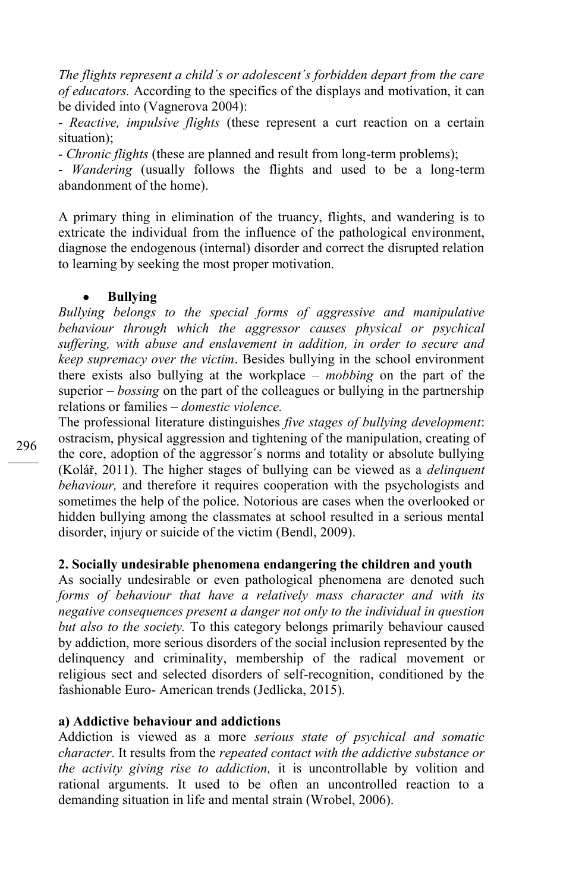*The flights represent a child´s or adolescent´s forbidden depart from the care of educators.* According to the specifics of the displays and motivation, it can be divided into (Vagnerova 2004):

- *Reactive, impulsive flights* (these represent a curt reaction on a certain situation);

- *Chronic flights* (these are planned and result from long-term problems);

- *Wandering* (usually follows the flights and used to be a long-term abandonment of the home).

A primary thing in elimination of the truancy, flights, and wandering is to extricate the individual from the influence of the pathological environment, diagnose the endogenous (internal) disorder and correct the disrupted relation to learning by seeking the most proper motivation.

#### **Bullying**

*Bullying belongs to the special forms of aggressive and manipulative behaviour through which the aggressor causes physical or psychical suffering, with abuse and enslavement in addition, in order to secure and keep supremacy over the victim*. Besides bullying in the school environment there exists also bullying at the workplace – *mobbing* on the part of the superior – *bossing* on the part of the colleagues or bullying in the partnership relations or families – *domestic violence.*

The professional literature distinguishes *five stages of bullying development*: ostracism, physical aggression and tightening of the manipulation, creating of the core, adoption of the aggressor´s norms and totality or absolute bullying (Kolář, 2011). The higher stages of bullying can be viewed as a *delinquent behaviour,* and therefore it requires cooperation with the psychologists and sometimes the help of the police. Notorious are cases when the overlooked or hidden bullying among the classmates at school resulted in a serious mental disorder, injury or suicide of the victim (Bendl, 2009).

### **2. Socially undesirable phenomena endangering the children and youth**

As socially undesirable or even pathological phenomena are denoted such *forms of behaviour that have a relatively mass character and with its negative consequences present a danger not only to the individual in question but also to the society.* To this category belongs primarily behaviour caused by addiction, more serious disorders of the social inclusion represented by the delinquency and criminality, membership of the radical movement or religious sect and selected disorders of self-recognition, conditioned by the fashionable Euro- American trends (Jedlicka, 2015).

#### **a) Addictive behaviour and addictions**

Addiction is viewed as a more *serious state of psychical and somatic character*. It results from the *repeated contact with the addictive substance or the activity giving rise to addiction,* it is uncontrollable by volition and rational arguments. It used to be often an uncontrolled reaction to a demanding situation in life and mental strain (Wrobel, 2006).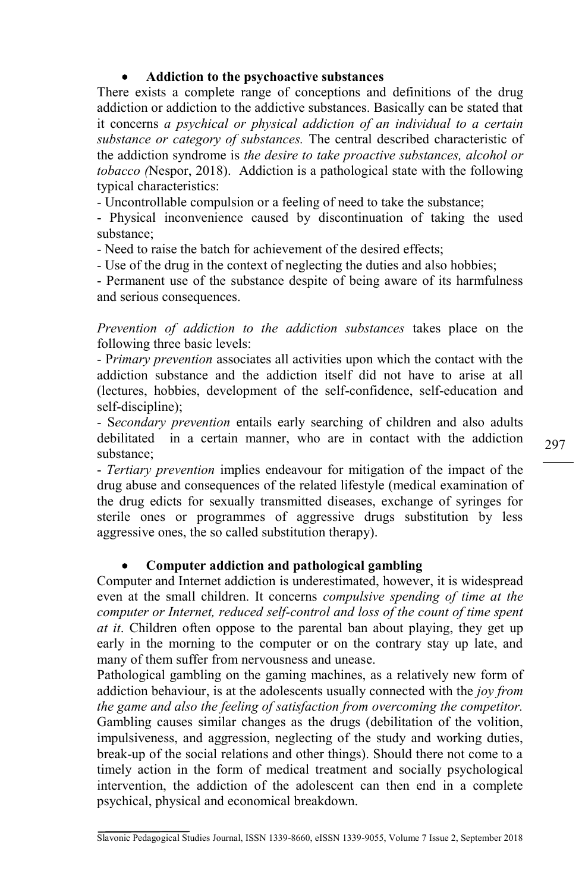# **Addiction to the psychoactive substances**

There exists a complete range of conceptions and definitions of the drug addiction or addiction to the addictive substances. Basically can be stated that it concerns *a psychical or physical addiction of an individual to a certain substance or category of substances.* The central described characteristic of the addiction syndrome is *the desire to take proactive substances, alcohol or tobacco (*Nespor, 2018). Addiction is a pathological state with the following typical characteristics:

- Uncontrollable compulsion or a feeling of need to take the substance;

- Physical inconvenience caused by discontinuation of taking the used substance;

- Need to raise the batch for achievement of the desired effects;

- Use of the drug in the context of neglecting the duties and also hobbies;

- Permanent use of the substance despite of being aware of its harmfulness and serious consequences.

*Prevention of addiction to the addiction substances* takes place on the following three basic levels:

- P*rimary prevention* associates all activities upon which the contact with the addiction substance and the addiction itself did not have to arise at all (lectures, hobbies, development of the self-confidence, self-education and self-discipline);

- S*econdary prevention* entails early searching of children and also adults debilitatedin a certain manner, who are in contact with the addiction substance;

- *Tertiary prevention* implies endeavour for mitigation of the impact of the drug abuse and consequences of the related lifestyle (medical examination of the drug edicts for sexually transmitted diseases, exchange of syringes for sterile ones or programmes of aggressive drugs substitution by less aggressive ones, the so called substitution therapy).

# **Computer addiction and pathological gambling**

Computer and Internet addiction is underestimated, however, it is widespread even at the small children. It concerns *compulsive spending of time at the computer or Internet, reduced self-control and loss of the count of time spent at it*. Children often oppose to the parental ban about playing, they get up early in the morning to the computer or on the contrary stay up late, and many of them suffer from nervousness and unease.

Pathological gambling on the gaming machines, as a relatively new form of addiction behaviour, is at the adolescents usually connected with the *joy from the game and also the feeling of satisfaction from overcoming the competitor.* Gambling causes similar changes as the drugs (debilitation of the volition, impulsiveness, and aggression, neglecting of the study and working duties, break-up of the social relations and other things). Should there not come to a timely action in the form of medical treatment and socially psychological intervention, the addiction of the adolescent can then end in a complete psychical, physical and economical breakdown.

297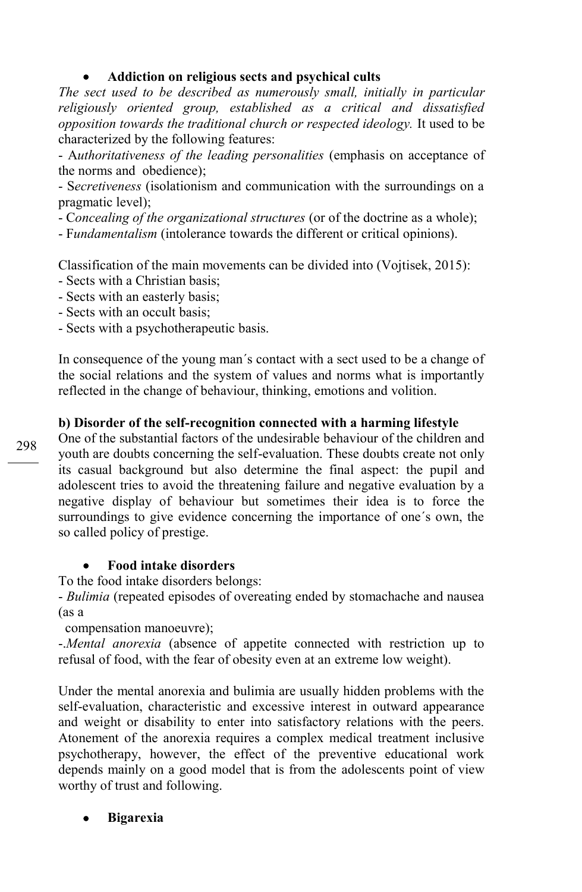## **Addiction on religious sects and psychical cults**

*The sect used to be described as numerously small, initially in particular religiously oriented group, established as a critical and dissatisfied opposition towards the traditional church or respected ideology.* It used to be characterized by the following features:

- A*uthoritativeness of the leading personalities* (emphasis on acceptance of the norms and obedience);

- S*ecretiveness* (isolationism and communication with the surroundings on a pragmatic level);

- C*oncealing of the organizational structures* (or of the doctrine as a whole);

- F*undamentalism* (intolerance towards the different or critical opinions).

Classification of the main movements can be divided into (Vojtisek, 2015):

- Sects with a Christian basis;
- Sects with an easterly basis;
- Sects with an occult basis;

- Sects with a psychotherapeutic basis.

In consequence of the young man´s contact with a sect used to be a change of the social relations and the system of values and norms what is importantly reflected in the change of behaviour, thinking, emotions and volition.

# **b) Disorder of the self-recognition connected with a harming lifestyle**

One of the substantial factors of the undesirable behaviour of the children and youth are doubts concerning the self-evaluation. These doubts create not only its casual background but also determine the final aspect: the pupil and adolescent tries to avoid the threatening failure and negative evaluation by a negative display of behaviour but sometimes their idea is to force the surroundings to give evidence concerning the importance of one´s own, the so called policy of prestige.

# **Food intake disorders**

To the food intake disorders belongs:

- *Bulimia* (repeated episodes of overeating ended by stomachache and nausea (as a

compensation manoeuvre);

-.*Mental anorexia* (absence of appetite connected with restriction up to refusal of food, with the fear of obesity even at an extreme low weight).

Under the mental anorexia and bulimia are usually hidden problems with the self-evaluation, characteristic and excessive interest in outward appearance and weight or disability to enter into satisfactory relations with the peers. Atonement of the anorexia requires a complex medical treatment inclusive psychotherapy, however, the effect of the preventive educational work depends mainly on a good model that is from the adolescents point of view worthy of trust and following.

# **Bigarexia**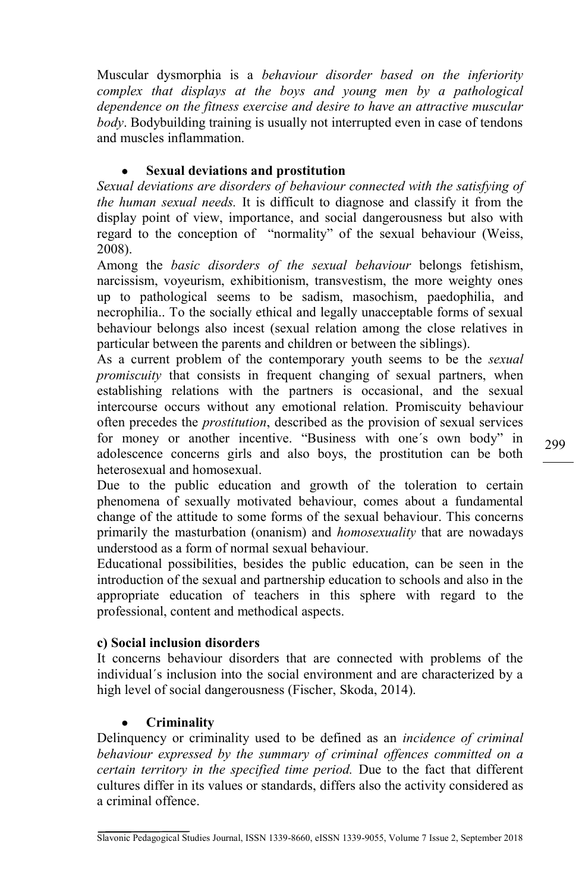Muscular dysmorphia is a *behaviour disorder based on the inferiority complex that displays at the boys and young men by a pathological dependence on the fitness exercise and desire to have an attractive muscular body*. Bodybuilding training is usually not interrupted even in case of tendons and muscles inflammation.

# **Sexual deviations and prostitution**

*Sexual deviations are disorders of behaviour connected with the satisfying of the human sexual needs.* It is difficult to diagnose and classify it from the display point of view, importance, and social dangerousness but also with regard to the conception of "normality" of the sexual behaviour (Weiss, 2008).

Among the *basic disorders of the sexual behaviour* belongs fetishism, narcissism, voyeurism, exhibitionism, transvestism, the more weighty ones up to pathological seems to be sadism, masochism, paedophilia, and necrophilia.. To the socially ethical and legally unacceptable forms of sexual behaviour belongs also incest (sexual relation among the close relatives in particular between the parents and children or between the siblings).

As a current problem of the contemporary youth seems to be the *sexual promiscuity* that consists in frequent changing of sexual partners, when establishing relations with the partners is occasional, and the sexual intercourse occurs without any emotional relation. Promiscuity behaviour often precedes the *prostitution*, described as the provision of sexual services for money or another incentive. "Business with one´s own body" in adolescence concerns girls and also boys, the prostitution can be both heterosexual and homosexual.

Due to the public education and growth of the toleration to certain phenomena of sexually motivated behaviour, comes about a fundamental change of the attitude to some forms of the sexual behaviour. This concerns primarily the masturbation (onanism) and *homosexuality* that are nowadays understood as a form of normal sexual behaviour.

Educational possibilities, besides the public education, can be seen in the introduction of the sexual and partnership education to schools and also in the appropriate education of teachers in this sphere with regard to the professional, content and methodical aspects.

# **c) Social inclusion disorders**

It concerns behaviour disorders that are connected with problems of the individual´s inclusion into the social environment and are characterized by a high level of social dangerousness (Fischer, Skoda, 2014).

# **Criminality**

Delinquency or criminality used to be defined as an *incidence of criminal behaviour expressed by the summary of criminal offences committed on a certain territory in the specified time period.* Due to the fact that different cultures differ in its values or standards, differs also the activity considered as a criminal offence.

Slavonic Pedagogical Studies Journal, ISSN 1339-8660, eISSN 1339-9055, Volume 7 Issue 2, September 2018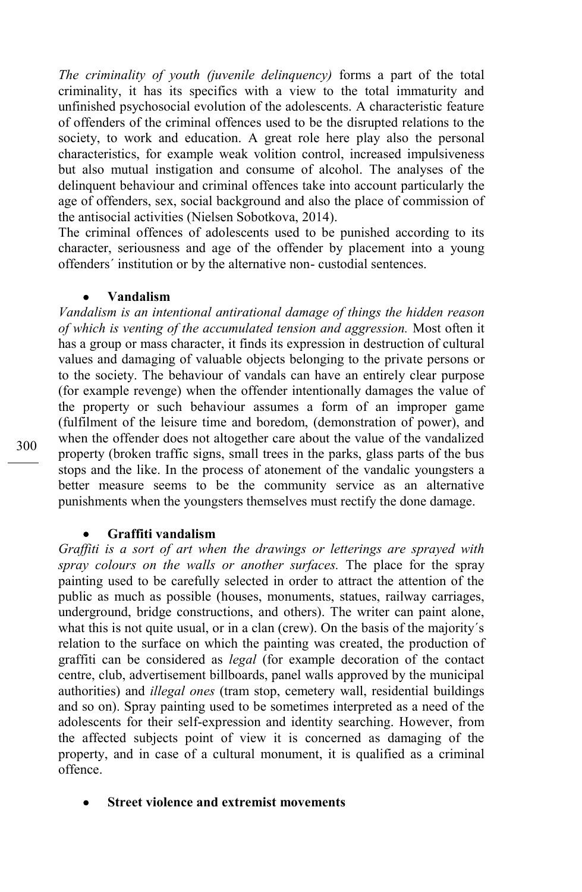*The criminality of youth (juvenile delinquency)* forms a part of the total criminality, it has its specifics with a view to the total immaturity and unfinished psychosocial evolution of the adolescents. A characteristic feature of offenders of the criminal offences used to be the disrupted relations to the society, to work and education. A great role here play also the personal characteristics, for example weak volition control, increased impulsiveness but also mutual instigation and consume of alcohol. The analyses of the delinquent behaviour and criminal offences take into account particularly the age of offenders, sex, social background and also the place of commission of the antisocial activities (Nielsen Sobotkova, 2014).

The criminal offences of adolescents used to be punished according to its character, seriousness and age of the offender by placement into a young offenders´ institution or by the alternative non- custodial sentences.

### **Vandalism**

*Vandalism is an intentional antirational damage of things the hidden reason of which is venting of the accumulated tension and aggression.* Most often it has a group or mass character, it finds its expression in destruction of cultural values and damaging of valuable objects belonging to the private persons or to the society. The behaviour of vandals can have an entirely clear purpose (for example revenge) when the offender intentionally damages the value of the property or such behaviour assumes a form of an improper game (fulfilment of the leisure time and boredom, (demonstration of power), and when the offender does not altogether care about the value of the vandalized property (broken traffic signs, small trees in the parks, glass parts of the bus stops and the like. In the process of atonement of the vandalic youngsters a better measure seems to be the community service as an alternative punishments when the youngsters themselves must rectify the done damage.

#### **Graffiti vandalism**

*Graffiti is a sort of art when the drawings or letterings are sprayed with spray colours on the walls or another surfaces.* The place for the spray painting used to be carefully selected in order to attract the attention of the public as much as possible (houses, monuments, statues, railway carriages, underground, bridge constructions, and others). The writer can paint alone, what this is not quite usual, or in a clan (crew). On the basis of the majority's relation to the surface on which the painting was created, the production of graffiti can be considered as *legal* (for example decoration of the contact centre, club, advertisement billboards, panel walls approved by the municipal authorities) and *illegal ones* (tram stop, cemetery wall, residential buildings and so on). Spray painting used to be sometimes interpreted as a need of the adolescents for their self-expression and identity searching. However, from the affected subjects point of view it is concerned as damaging of the property, and in case of a cultural monument, it is qualified as a criminal offence.

**Street violence and extremist movements**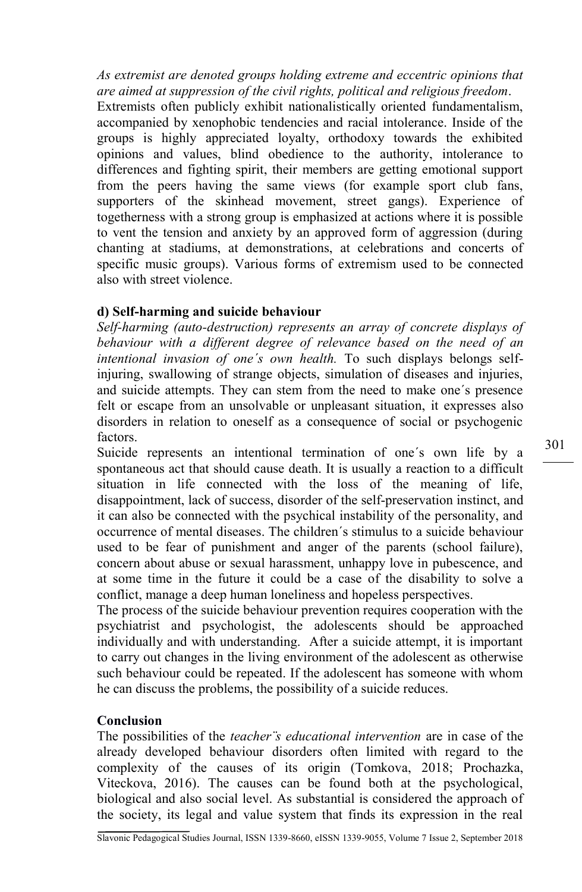*As extremist are denoted groups holding extreme and eccentric opinions that are aimed at suppression of the civil rights, political and religious freedom*.

Extremists often publicly exhibit nationalistically oriented fundamentalism, accompanied by xenophobic tendencies and racial intolerance. Inside of the groups is highly appreciated loyalty, orthodoxy towards the exhibited opinions and values, blind obedience to the authority, intolerance to differences and fighting spirit, their members are getting emotional support from the peers having the same views (for example sport club fans, supporters of the skinhead movement, street gangs). Experience of togetherness with a strong group is emphasized at actions where it is possible to vent the tension and anxiety by an approved form of aggression (during chanting at stadiums, at demonstrations, at celebrations and concerts of specific music groups). Various forms of extremism used to be connected also with street violence.

### **d) Self-harming and suicide behaviour**

*Self-harming (auto-destruction) represents an array of concrete displays of behaviour with a different degree of relevance based on the need of an intentional invasion of one´s own health.* To such displays belongs selfinjuring, swallowing of strange objects, simulation of diseases and injuries, and suicide attempts. They can stem from the need to make one´s presence felt or escape from an unsolvable or unpleasant situation, it expresses also disorders in relation to oneself as a consequence of social or psychogenic factors.

Suicide represents an intentional termination of one´s own life by a spontaneous act that should cause death. It is usually a reaction to a difficult situation in life connected with the loss of the meaning of life, disappointment, lack of success, disorder of the self-preservation instinct, and it can also be connected with the psychical instability of the personality, and occurrence of mental diseases. The children´s stimulus to a suicide behaviour used to be fear of punishment and anger of the parents (school failure), concern about abuse or sexual harassment, unhappy love in pubescence, and at some time in the future it could be a case of the disability to solve a conflict, manage a deep human loneliness and hopeless perspectives.

The process of the suicide behaviour prevention requires cooperation with the psychiatrist and psychologist, the adolescents should be approached individually and with understanding. After a suicide attempt, it is important to carry out changes in the living environment of the adolescent as otherwise such behaviour could be repeated. If the adolescent has someone with whom he can discuss the problems, the possibility of a suicide reduces.

### **Conclusion**

The possibilities of the *teacher¨s educational intervention* are in case of the already developed behaviour disorders often limited with regard to the complexity of the causes of its origin (Tomkova, 2018; Prochazka, Viteckova, 2016). The causes can be found both at the psychological, biological and also social level. As substantial is considered the approach of the society, its legal and value system that finds its expression in the real 301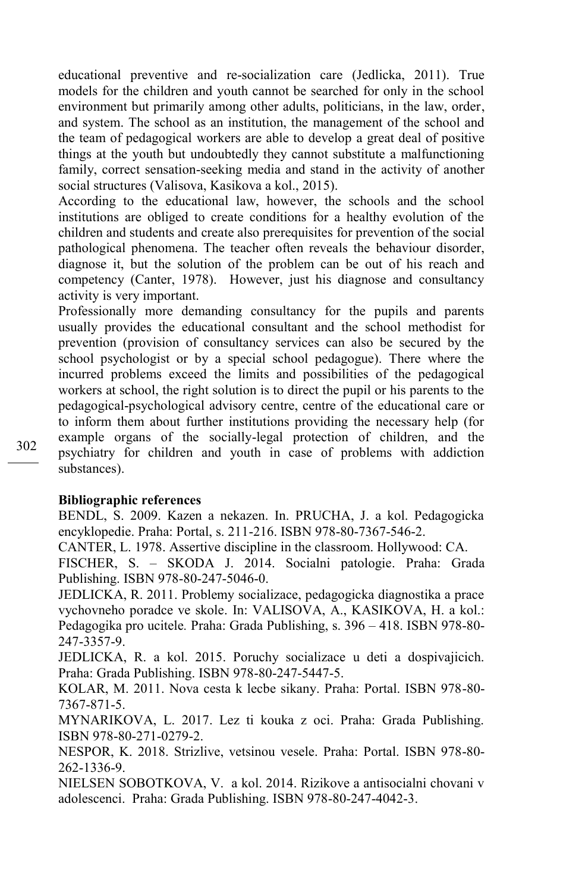educational preventive and re-socialization care (Jedlicka, 2011). True models for the children and youth cannot be searched for only in the school environment but primarily among other adults, politicians, in the law, order, and system. The school as an institution, the management of the school and the team of pedagogical workers are able to develop a great deal of positive things at the youth but undoubtedly they cannot substitute a malfunctioning family, correct sensation-seeking media and stand in the activity of another social structures (Valisova, Kasikova a kol., 2015).

According to the educational law, however, the schools and the school institutions are obliged to create conditions for a healthy evolution of the children and students and create also prerequisites for prevention of the social pathological phenomena. The teacher often reveals the behaviour disorder, diagnose it, but the solution of the problem can be out of his reach and competency (Canter, 1978). However, just his diagnose and consultancy activity is very important.

Professionally more demanding consultancy for the pupils and parents usually provides the educational consultant and the school methodist for prevention (provision of consultancy services can also be secured by the school psychologist or by a special school pedagogue). There where the incurred problems exceed the limits and possibilities of the pedagogical workers at school, the right solution is to direct the pupil or his parents to the pedagogical-psychological advisory centre, centre of the educational care or to inform them about further institutions providing the necessary help (for example organs of the socially-legal protection of children, and the psychiatry for children and youth in case of problems with addiction substances).

#### **Bibliographic references**

BENDL, S. 2009. Kazen a nekazen. In. PRUCHA, J. a kol. Pedagogicka encyklopedie. Praha: Portal, s. 211-216. ISBN 978-80-7367-546-2.

CANTER, L. 1978. Assertive discipline in the classroom. Hollywood: CA.

FISCHER, S. – SKODA J. 2014. Socialni patologie. Praha: Grada Publishing. ISBN 978-80-247-5046-0.

JEDLICKA, R. 2011. Problemy socializace, pedagogicka diagnostika a prace vychovneho poradce ve skole. In: VALISOVA, A., KASIKOVA, H. a kol.: Pedagogika pro ucitele*.* Praha: Grada Publishing, s. 396 – 418. ISBN 978-80- 247-3357-9.

JEDLICKA, R. a kol. 2015. Poruchy socializace u deti a dospivajicich. Praha: Grada Publishing. ISBN 978-80-247-5447-5.

KOLAR, M. 2011. Nova cesta k lecbe sikany. Praha: Portal. ISBN 978-80- 7367-871-5.

MYNARIKOVA, L. 2017. Lez ti kouka z oci. Praha: Grada Publishing. ISBN 978-80-271-0279-2.

NESPOR, K. 2018. Strizlive, vetsinou vesele. Praha: Portal. ISBN 978-80- 262-1336-9.

NIELSEN SOBOTKOVA, V. a kol. 2014. Rizikove a antisocialni chovani v adolescenci. Praha: Grada Publishing. ISBN 978-80-247-4042-3.